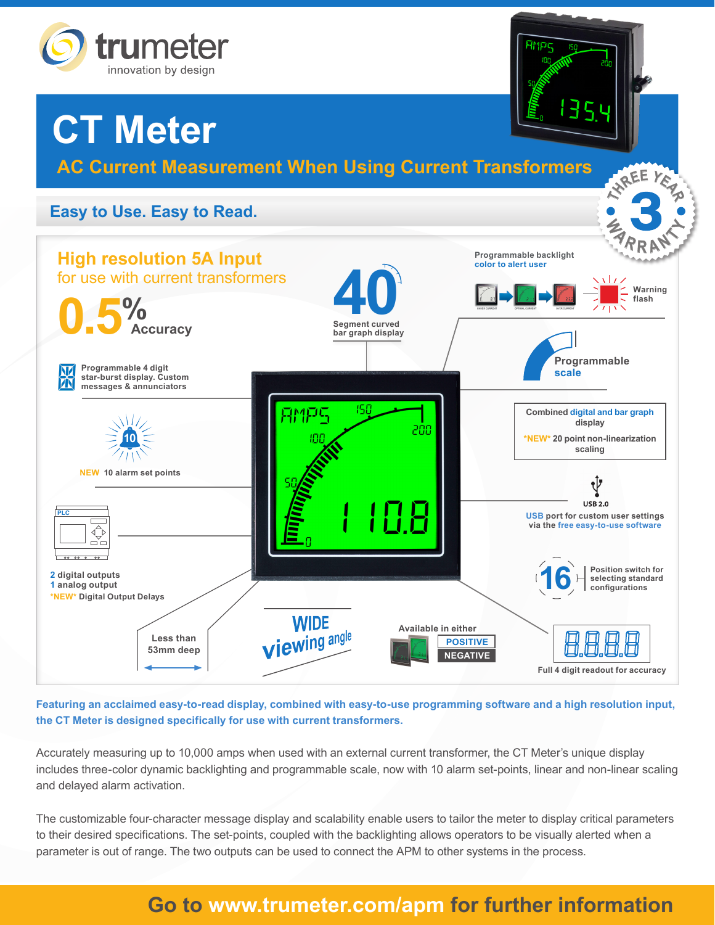

# **CT Meter**

**AC Current Measurement When Using Current Transformers**

**TREE** 

3

## **Easy to Use. Easy to Read.**



**Featuring an acclaimed easy-to-read display, combined with easy-to-use programming software and a high resolution input, the CT Meter is designed specifically for use with current transformers.**

Accurately measuring up to 10,000 amps when used with an external current transformer, the CT Meter's unique display includes three-color dynamic backlighting and programmable scale, now with 10 alarm set-points, linear and non-linear scaling and delayed alarm activation.

The customizable four-character message display and scalability enable users to tailor the meter to display critical parameters to their desired specifications. The set-points, coupled with the backlighting allows operators to be visually alerted when a parameter is out of range. The two outputs can be used to connect the APM to other systems in the process.

# **Go to www.trumeter.com/apm for further information**